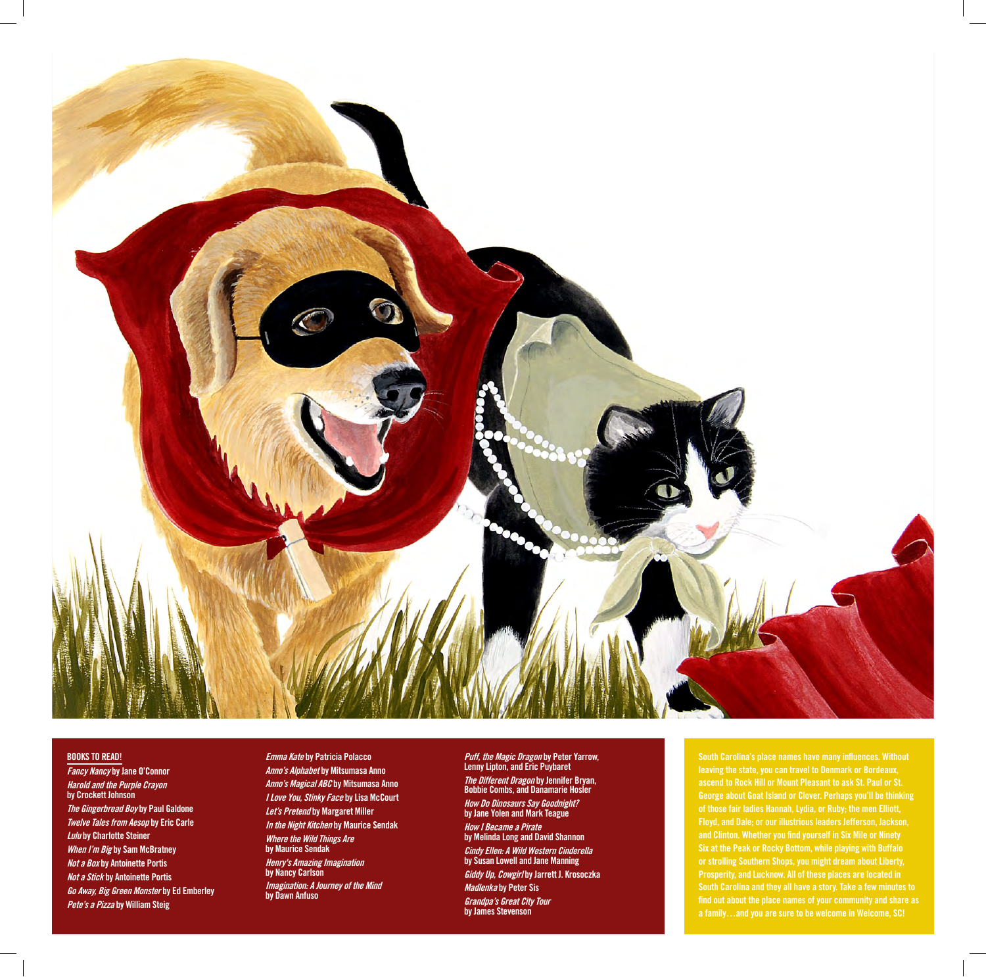

## **BOOKS TO READ!**

**Fancy Nancy by Jane O'Connor Harold and the Purple Crayon by Crockett Johnson The Gingerbread Boy by Paul Galdone Twelve Tales from Aesop by Eric Carle Lulu by Charlotte Steiner When I'm Big by Sam McBratney Not a Box by Antoinette Portis Not a Stick by Antoinette Portis Go Away, Big Green Monster by Ed Emberley Pete's a Pizza by William Steig**

**Emma Kate by Patricia Polacco Anno's Alphabet by Mitsumasa Anno Anno's Magical ABC by Mitsumasa Anno I Love You, Stinky Face by Lisa McCourt Let's Pretend by Margaret Miller In the Night Kitchen by Maurice Sendak Where the Wild Things Are by Maurice Sendak Henry's Amazing Imagination by Nancy Carlson Imagination: A Journey of the Mind by Dawn Anfuso** 

**Puff, the Magic Dragon by Peter Yarrow, Lenny Lipton, and Eric Puybaret The Different Dragon by Jennifer Bryan, Bobbie Combs, and Danamarie Hosler How Do Dinosaurs Say Goodnight? by Jane Yolen and Mark Teague How I Became a Pirate by Melinda Long and David Shannon Cindy Ellen: A Wild Western Cinderella by Susan Lowell and Jane Manning Giddy Up, Cowgirl by Jarrett J. Krosoczka Madlenka by Peter Sis Grandpa's Great City Tour by James Stevenson**

**South Carolina's place names have many influences. Without leaving the state, you can travel to Denmark or Bordeaux, ascend to Rock Hill or Mount Pleasant to ask St. Paul or St. George about Goat Island or Clover. Perhaps you'll be thinking of those fair ladies Hannah, Lydia, or Ruby; the men Elliott, Floyd, and Dale; or our illustrious leaders Jefferson, Jackson, and Clinton. Whether you find yourself in Six Mile or Ninety Six at the Peak or Rocky Bottom, while playing with Buffalo or strolling Southern Shops, you might dream about Liberty, Prosperity, and Lucknow. All of these places are located in South Carolina and they all have a story. Take a few minutes to find out about the place names of your community and share as a family…and you are sure to be welcome in Welcome, SC!**